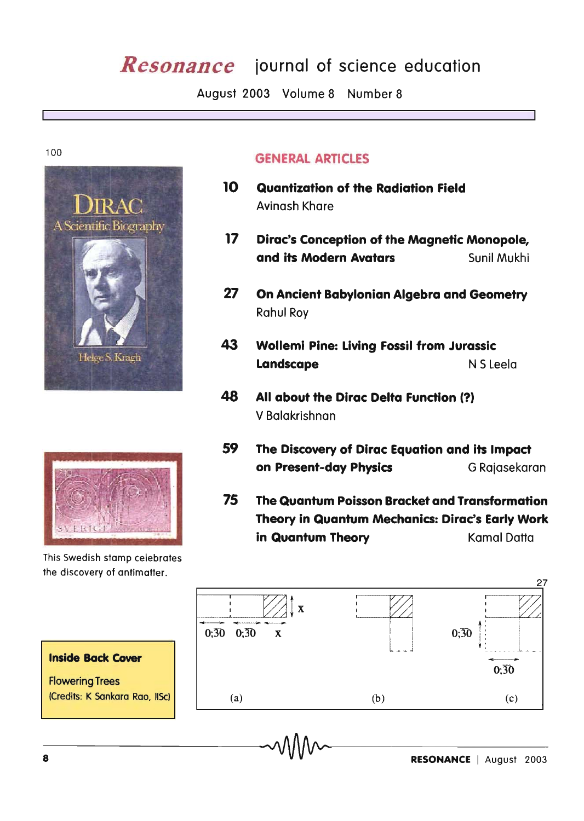# *Resonance* iournal of science education

August 2003 Volume 8 Number 8

100





This Swedish stamp celebrates the discovery of antimatter.

# GENERAL ARTICLES

- 10 Quantization of the Radiation Field Avinash Khare
- 17 Dirac's Conception of the Magnetic Monopole, and its Modern Avatars Sunil Mukhi
- 27 On Ancient Babylonian Algebra and Geometry **Rahul Roy**
- 43 Wollemi Pine: Living Fossil from Jurassic Landscape N S Leela
- 48 All about the Dirac Delta Function (?) V Balakrishnan
- 59 The Discovery of Dirac Equation and its Impact on Present-day Physics **G Rajasekaran**
- 75 The Quantum Poisson Bracket and Transformation Theory in Quantum Mechanics: Dirac's Early Work in Quantum Theory Kamal Datta



# Inside Back Cover

Flowering Trees (Credits: K Sankara Rao, IISc)